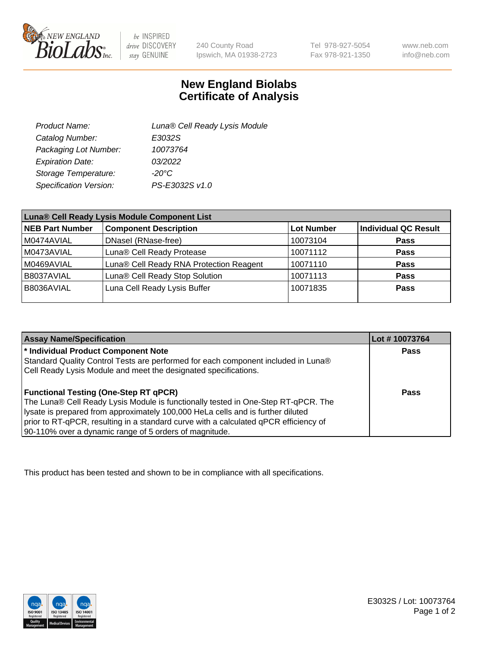

 $be$  INSPIRED drive DISCOVERY stay GENUINE

240 County Road Ipswich, MA 01938-2723 Tel 978-927-5054 Fax 978-921-1350

www.neb.com info@neb.com

## **New England Biolabs Certificate of Analysis**

| Product Name:           | Luna® Cell Ready Lysis Module |
|-------------------------|-------------------------------|
| Catalog Number:         | E3032S                        |
| Packaging Lot Number:   | 10073764                      |
| <b>Expiration Date:</b> | 03/2022                       |
| Storage Temperature:    | $-20^{\circ}$ C               |
| Specification Version:  | PS-E3032S v1.0                |

| Luna® Cell Ready Lysis Module Component List |                                         |                   |                             |  |
|----------------------------------------------|-----------------------------------------|-------------------|-----------------------------|--|
| <b>NEB Part Number</b>                       | <b>Component Description</b>            | <b>Lot Number</b> | <b>Individual QC Result</b> |  |
| M0474AVIAL                                   | DNasel (RNase-free)                     | 10073104          | <b>Pass</b>                 |  |
| M0473AVIAL                                   | Luna® Cell Ready Protease               | 10071112          | <b>Pass</b>                 |  |
| M0469AVIAL                                   | Luna® Cell Ready RNA Protection Reagent | 10071110          | <b>Pass</b>                 |  |
| B8037AVIAL                                   | Luna® Cell Ready Stop Solution          | 10071113          | <b>Pass</b>                 |  |
| B8036AVIAL                                   | Luna Cell Ready Lysis Buffer            | 10071835          | Pass                        |  |
|                                              |                                         |                   |                             |  |

| <b>Assay Name/Specification</b>                                                      | Lot #10073764 |
|--------------------------------------------------------------------------------------|---------------|
| <sup>*</sup> Individual Product Component Note                                       | Pass          |
| Standard Quality Control Tests are performed for each component included in Luna®    |               |
| Cell Ready Lysis Module and meet the designated specifications.                      |               |
|                                                                                      |               |
| <b>Functional Testing (One-Step RT qPCR)</b>                                         | Pass          |
| The Luna® Cell Ready Lysis Module is functionally tested in One-Step RT-qPCR. The    |               |
| lysate is prepared from approximately 100,000 HeLa cells and is further diluted      |               |
| prior to RT-qPCR, resulting in a standard curve with a calculated qPCR efficiency of |               |
| 90-110% over a dynamic range of 5 orders of magnitude.                               |               |

This product has been tested and shown to be in compliance with all specifications.